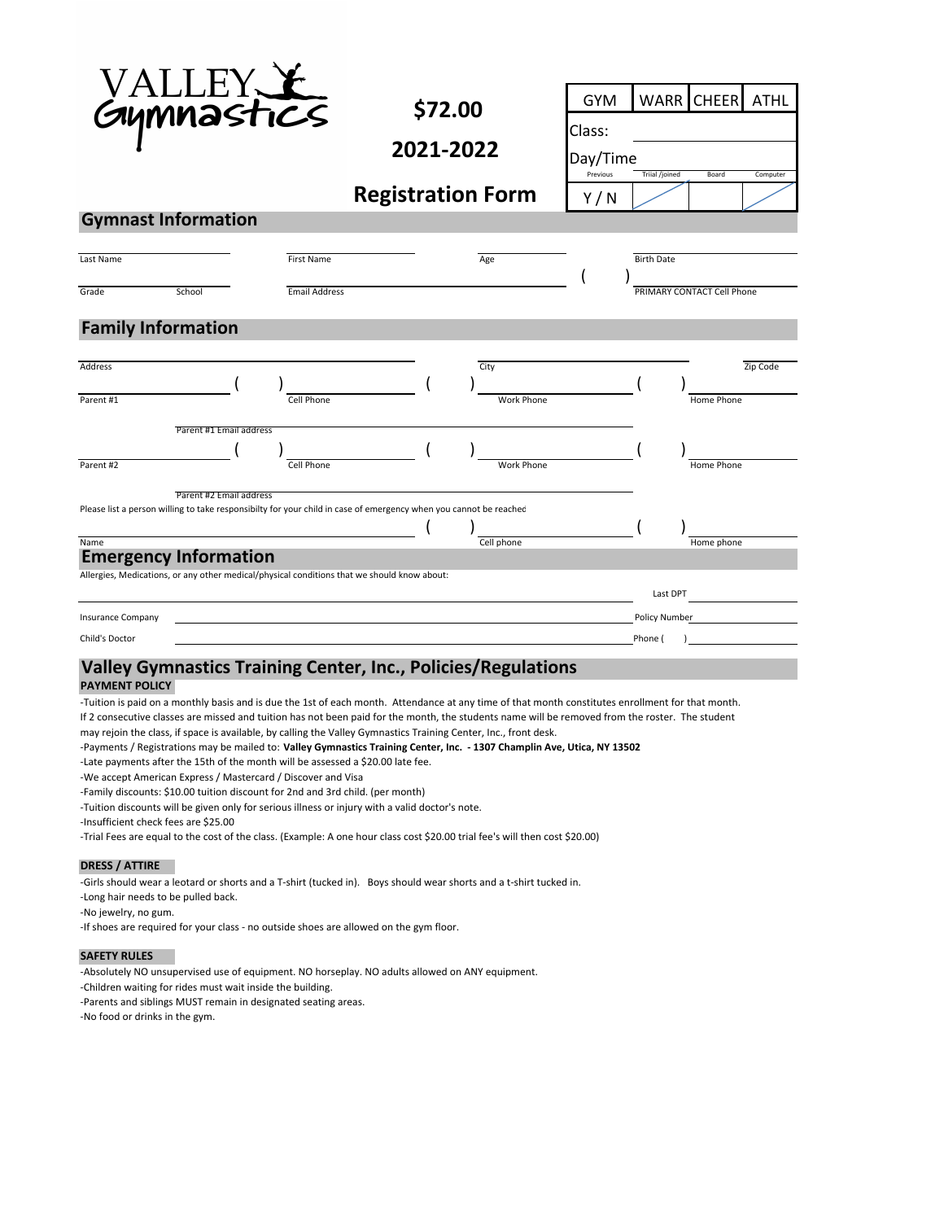| aymnastıcs                                                                                                                                                                                                                                   |                         |                      | \$72.00   |  | GYM                      | <b>WARR</b> | <b>CHEER</b>      | <b>ATHL</b>                |          |  |
|----------------------------------------------------------------------------------------------------------------------------------------------------------------------------------------------------------------------------------------------|-------------------------|----------------------|-----------|--|--------------------------|-------------|-------------------|----------------------------|----------|--|
|                                                                                                                                                                                                                                              |                         |                      |           |  |                          | Class:      |                   |                            |          |  |
|                                                                                                                                                                                                                                              |                         |                      | 2021-2022 |  |                          |             | Day/Time          |                            |          |  |
|                                                                                                                                                                                                                                              |                         |                      |           |  |                          | Previous    | Triial /joined    | Board                      | Computer |  |
|                                                                                                                                                                                                                                              |                         |                      |           |  | <b>Registration Form</b> | Y/N         |                   |                            |          |  |
| <b>Gymnast Information</b>                                                                                                                                                                                                                   |                         |                      |           |  |                          |             |                   |                            |          |  |
| Last Name                                                                                                                                                                                                                                    |                         | <b>First Name</b>    |           |  | Age                      |             | <b>Birth Date</b> |                            |          |  |
|                                                                                                                                                                                                                                              |                         |                      |           |  |                          |             |                   |                            |          |  |
| Grade                                                                                                                                                                                                                                        | School                  | <b>Email Address</b> |           |  |                          |             |                   | PRIMARY CONTACT Cell Phone |          |  |
|                                                                                                                                                                                                                                              |                         |                      |           |  |                          |             |                   |                            |          |  |
| <b>Family Information</b>                                                                                                                                                                                                                    |                         |                      |           |  |                          |             |                   |                            |          |  |
| Address                                                                                                                                                                                                                                      |                         |                      |           |  | City                     |             |                   |                            | Zip Code |  |
|                                                                                                                                                                                                                                              |                         |                      |           |  |                          |             |                   |                            |          |  |
| Parent #1                                                                                                                                                                                                                                    |                         | Cell Phone           |           |  | <b>Work Phone</b>        |             |                   | Home Phone                 |          |  |
|                                                                                                                                                                                                                                              | Parent #1 Email address |                      |           |  |                          |             |                   |                            |          |  |
|                                                                                                                                                                                                                                              |                         |                      |           |  |                          |             |                   |                            |          |  |
| Parent #2                                                                                                                                                                                                                                    |                         | Cell Phone           |           |  | <b>Work Phone</b>        |             |                   | Home Phone                 |          |  |
|                                                                                                                                                                                                                                              | Parent #2 Email address |                      |           |  |                          |             |                   |                            |          |  |
| Please list a person willing to take responsibilty for your child in case of emergency when you cannot be reached                                                                                                                            |                         |                      |           |  |                          |             |                   |                            |          |  |
| Name                                                                                                                                                                                                                                         |                         |                      |           |  | Cell phone               |             |                   | Home phone                 |          |  |
| <b>Emergency Information</b>                                                                                                                                                                                                                 |                         |                      |           |  |                          |             |                   |                            |          |  |
| Allergies, Medications, or any other medical/physical conditions that we should know about:                                                                                                                                                  |                         |                      |           |  |                          |             |                   |                            |          |  |
|                                                                                                                                                                                                                                              |                         |                      |           |  |                          |             | Last DPT          |                            |          |  |
| <b>Insurance Company</b>                                                                                                                                                                                                                     |                         |                      |           |  |                          |             | Policy Number     |                            |          |  |
| Child's Doctor                                                                                                                                                                                                                               |                         |                      |           |  |                          |             | Phone (           |                            |          |  |
| Valley Gymnastics Training Center, Inc., Policies/Regulations<br><b>PAYMENT POLICY</b>                                                                                                                                                       |                         |                      |           |  |                          |             |                   |                            |          |  |
| -Tuition is paid on a monthly basis and is due the 1st of each month. Attendance at any time of that month constitutes enrollment for that month.                                                                                            |                         |                      |           |  |                          |             |                   |                            |          |  |
| If 2 consecutive classes are missed and tuition has not been paid for the month, the students name will be removed from the roster. The student                                                                                              |                         |                      |           |  |                          |             |                   |                            |          |  |
| may rejoin the class, if space is available, by calling the Valley Gymnastics Training Center, Inc., front desk.<br>-Payments / Registrations may be mailed to: Valley Gymnastics Training Center, Inc. - 1307 Champlin Ave, Utica, NY 13502 |                         |                      |           |  |                          |             |                   |                            |          |  |
|                                                                                                                                                                                                                                              |                         |                      |           |  |                          |             |                   |                            |          |  |

‐Late payments after the 15th of the month will be assessed a \$20.00 late fee.

‐We accept American Express / Mastercard / Discover and Visa

‐Family discounts: \$10.00 tuition discount for 2nd and 3rd child. (per month)

‐Tuition discounts will be given only for serious illness or injury with a valid doctor's note.

‐Insufficient check fees are \$25.00

‐Trial Fees are equal to the cost of the class. (Example: A one hour class cost \$20.00 trial fee's will then cost \$20.00)

### **DRESS / ATTIRE**

‐Girls should wear a leotard or shorts and a T‐shirt (tucked in). Boys should wear shorts and a t‐shirt tucked in.

‐Long hair needs to be pulled back.

‐No jewelry, no gum.

‐If shoes are required for your class ‐ no outside shoes are allowed on the gym floor.

### **SAFETY RULES**

‐Absolutely NO unsupervised use of equipment. NO horseplay. NO adults allowed on ANY equipment.

‐Children waiting for rides must wait inside the building.

‐Parents and siblings MUST remain in designated seating areas.

‐No food or drinks in the gym.